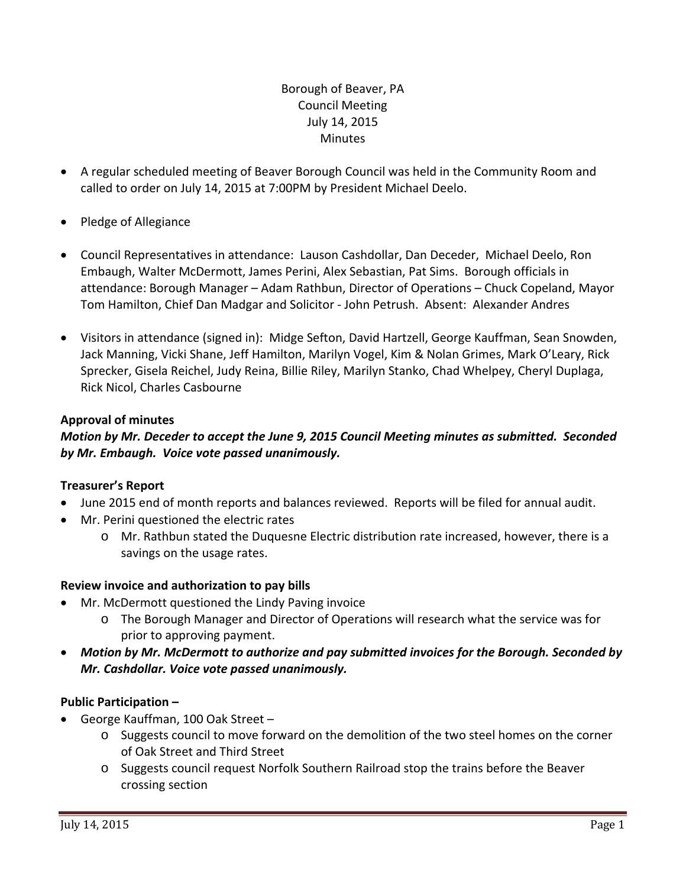## Borough of Beaver, PA Council Meeting July 14, 2015 **Minutes**

- A regular scheduled meeting of Beaver Borough Council was held in the Community Room and called to order on July 14, 2015 at 7:00PM by President Michael Deelo.
- Pledge of Allegiance
- Council Representatives in attendance: Lauson Cashdollar, Dan Deceder, Michael Deelo, Ron Embaugh, Walter McDermott, James Perini, Alex Sebastian, Pat Sims. Borough officials in attendance: Borough Manager – Adam Rathbun, Director of Operations – Chuck Copeland, Mayor Tom Hamilton, Chief Dan Madgar and Solicitor ‐ John Petrush. Absent: Alexander Andres
- Visitors in attendance (signed in): Midge Sefton, David Hartzell, George Kauffman, Sean Snowden, Jack Manning, Vicki Shane, Jeff Hamilton, Marilyn Vogel, Kim & Nolan Grimes, Mark O'Leary, Rick Sprecker, Gisela Reichel, Judy Reina, Billie Riley, Marilyn Stanko, Chad Whelpey, Cheryl Duplaga, Rick Nicol, Charles Casbourne

### **Approval of minutes**

### *Motion by Mr. Deceder to accept the June 9, 2015 Council Meeting minutes as submitted. Seconded by Mr. Embaugh. Voice vote passed unanimously.*

### **Treasurer's Report**

- June 2015 end of month reports and balances reviewed. Reports will be filed for annual audit.
- Mr. Perini questioned the electric rates
	- o Mr. Rathbun stated the Duquesne Electric distribution rate increased, however, there is a savings on the usage rates.

### **Review invoice and authorization to pay bills**

- Mr. McDermott questioned the Lindy Paving invoice
	- o The Borough Manager and Director of Operations will research what the service was for prior to approving payment.
- *Motion by Mr. McDermott to authorize and pay submitted invoices for the Borough. Seconded by Mr. Cashdollar. Voice vote passed unanimously.*

### **Public Participation –**

- George Kauffman, 100 Oak Street
	- o Suggests council to move forward on the demolition of the two steel homes on the corner of Oak Street and Third Street
	- o Suggests council request Norfolk Southern Railroad stop the trains before the Beaver crossing section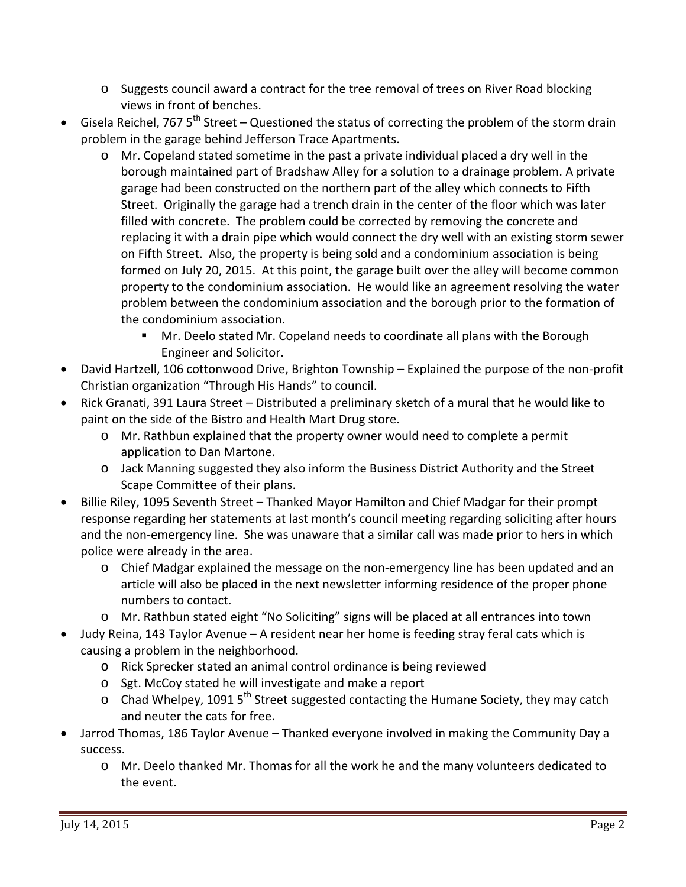- o Suggests council award a contract for the tree removal of trees on River Road blocking views in front of benches.
- Gisela Reichel, 767  $5^{th}$  Street Questioned the status of correcting the problem of the storm drain problem in the garage behind Jefferson Trace Apartments.
	- o Mr. Copeland stated sometime in the past a private individual placed a dry well in the borough maintained part of Bradshaw Alley for a solution to a drainage problem. A private garage had been constructed on the northern part of the alley which connects to Fifth Street. Originally the garage had a trench drain in the center of the floor which was later filled with concrete. The problem could be corrected by removing the concrete and replacing it with a drain pipe which would connect the dry well with an existing storm sewer on Fifth Street. Also, the property is being sold and a condominium association is being formed on July 20, 2015. At this point, the garage built over the alley will become common property to the condominium association. He would like an agreement resolving the water problem between the condominium association and the borough prior to the formation of the condominium association.
		- Mr. Deelo stated Mr. Copeland needs to coordinate all plans with the Borough Engineer and Solicitor.
- David Hartzell, 106 cottonwood Drive, Brighton Township Explained the purpose of the non‐profit Christian organization "Through His Hands" to council.
- Rick Granati, 391 Laura Street Distributed a preliminary sketch of a mural that he would like to paint on the side of the Bistro and Health Mart Drug store.
	- o Mr. Rathbun explained that the property owner would need to complete a permit application to Dan Martone.
	- o Jack Manning suggested they also inform the Business District Authority and the Street Scape Committee of their plans.
- Billie Riley, 1095 Seventh Street Thanked Mayor Hamilton and Chief Madgar for their prompt response regarding her statements at last month's council meeting regarding soliciting after hours and the non-emergency line. She was unaware that a similar call was made prior to hers in which police were already in the area.
	- o Chief Madgar explained the message on the non‐emergency line has been updated and an article will also be placed in the next newsletter informing residence of the proper phone numbers to contact.
	- o Mr. Rathbun stated eight "No Soliciting" signs will be placed at all entrances into town
- Judy Reina, 143 Taylor Avenue A resident near her home is feeding stray feral cats which is causing a problem in the neighborhood.
	- o Rick Sprecker stated an animal control ordinance is being reviewed
	- o Sgt. McCoy stated he will investigate and make a report
	- $\circ$  Chad Whelpey, 1091 5<sup>th</sup> Street suggested contacting the Humane Society, they may catch and neuter the cats for free.
- Jarrod Thomas, 186 Taylor Avenue Thanked everyone involved in making the Community Day a success.
	- o Mr. Deelo thanked Mr. Thomas for all the work he and the many volunteers dedicated to the event.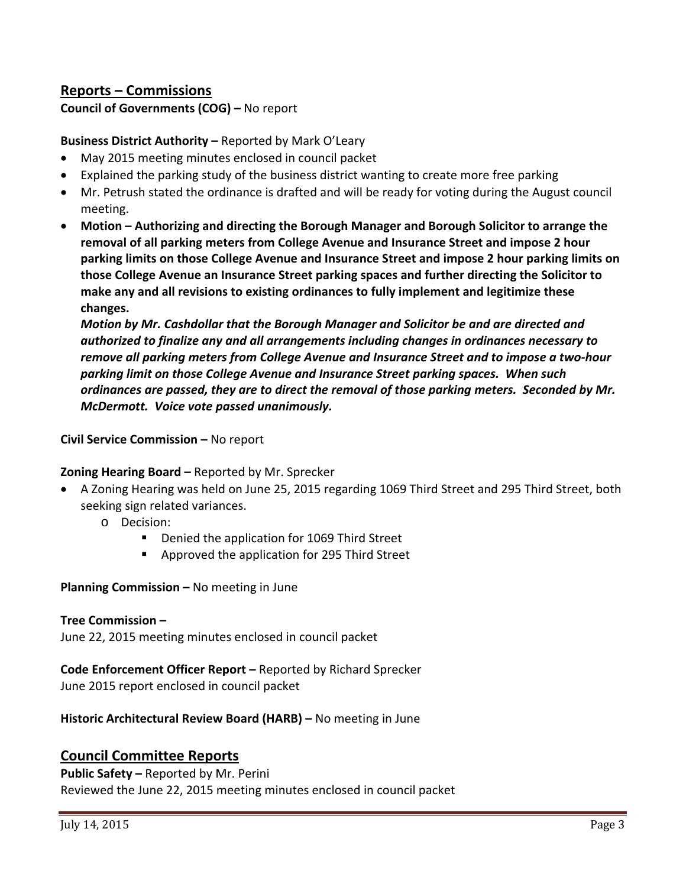# **Reports – Commissions**

**Council of Governments (COG) –** No report

### **Business District Authority –** Reported by Mark O'Leary

- May 2015 meeting minutes enclosed in council packet
- Explained the parking study of the business district wanting to create more free parking
- Mr. Petrush stated the ordinance is drafted and will be ready for voting during the August council meeting.
- **Motion – Authorizing and directing the Borough Manager and Borough Solicitor to arrange the removal of all parking meters from College Avenue and Insurance Street and impose 2 hour parking limits on those College Avenue and Insurance Street and impose 2 hour parking limits on those College Avenue an Insurance Street parking spaces and further directing the Solicitor to make any and all revisions to existing ordinances to fully implement and legitimize these changes.**

*Motion by Mr. Cashdollar that the Borough Manager and Solicitor be and are directed and authorized to finalize any and all arrangements including changes in ordinances necessary to remove all parking meters from College Avenue and Insurance Street and to impose a two‐hour parking limit on those College Avenue and Insurance Street parking spaces. When such ordinances are passed, they are to direct the removal of those parking meters. Seconded by Mr. McDermott. Voice vote passed unanimously.*

**Civil Service Commission –** No report

#### **Zoning Hearing Board –** Reported by Mr. Sprecker

- A Zoning Hearing was held on June 25, 2015 regarding 1069 Third Street and 295 Third Street, both seeking sign related variances.
	- o Decision:
		- **Denied the application for 1069 Third Street**
		- Approved the application for 295 Third Street

**Planning Commission –** No meeting in June

#### **Tree Commission –**

June 22, 2015 meeting minutes enclosed in council packet

## **Code Enforcement Officer Report –** Reported by Richard Sprecker

June 2015 report enclosed in council packet

**Historic Architectural Review Board (HARB) –** No meeting in June

### **Council Committee Reports**

**Public Safety –** Reported by Mr. Perini Reviewed the June 22, 2015 meeting minutes enclosed in council packet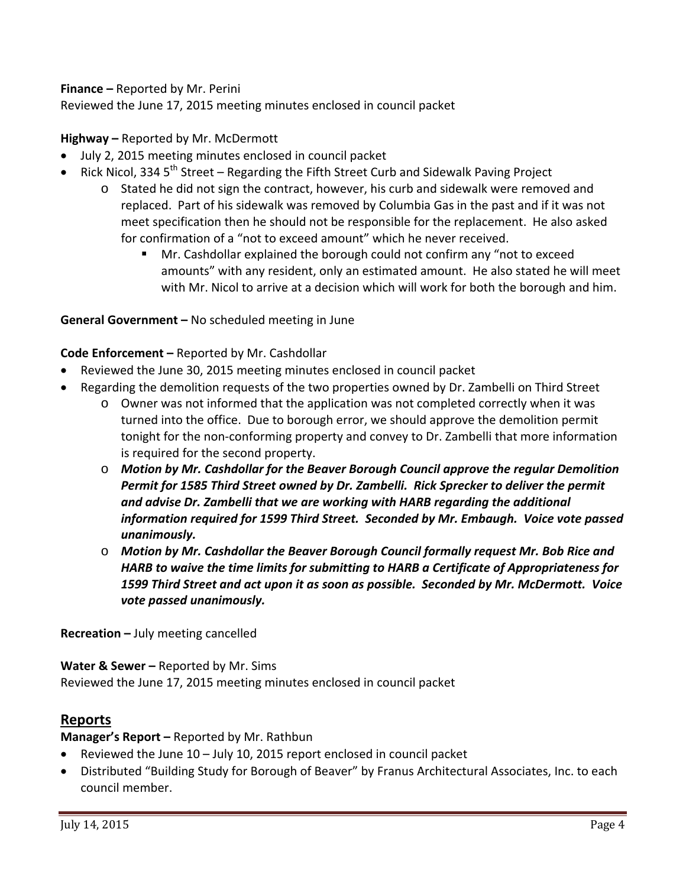### **Finance –** Reported by Mr. Perini

Reviewed the June 17, 2015 meeting minutes enclosed in council packet

### **Highway –** Reported by Mr. McDermott

- July 2, 2015 meeting minutes enclosed in council packet
- Rick Nicol, 334  $5<sup>th</sup>$  Street Regarding the Fifth Street Curb and Sidewalk Paving Project
	- o Stated he did not sign the contract, however, his curb and sidewalk were removed and replaced. Part of his sidewalk was removed by Columbia Gas in the past and if it was not meet specification then he should not be responsible for the replacement. He also asked for confirmation of a "not to exceed amount" which he never received.
		- Mr. Cashdollar explained the borough could not confirm any "not to exceed amounts" with any resident, only an estimated amount. He also stated he will meet with Mr. Nicol to arrive at a decision which will work for both the borough and him.

#### **General Government –** No scheduled meeting in June

#### **Code Enforcement –** Reported by Mr. Cashdollar

- Reviewed the June 30, 2015 meeting minutes enclosed in council packet
- Regarding the demolition requests of the two properties owned by Dr. Zambelli on Third Street
	- o Owner was not informed that the application was not completed correctly when it was turned into the office. Due to borough error, we should approve the demolition permit tonight for the non-conforming property and convey to Dr. Zambelli that more information is required for the second property.
	- o *Motion by Mr. Cashdollar for the Beaver Borough Council approve the regular Demolition Permit for 1585 Third Street owned by Dr. Zambelli. Rick Sprecker to deliver the permit and advise Dr. Zambelli that we are working with HARB regarding the additional information required for 1599 Third Street. Seconded by Mr. Embaugh. Voice vote passed unanimously.*
	- o *Motion by Mr. Cashdollar the Beaver Borough Council formally request Mr. Bob Rice and HARB to waive the time limits for submitting to HARB a Certificate of Appropriateness for 1599 Third Street and act upon it as soon as possible. Seconded by Mr. McDermott. Voice vote passed unanimously.*

**Recreation –** July meeting cancelled

**Water & Sewer –** Reported by Mr. Sims Reviewed the June 17, 2015 meeting minutes enclosed in council packet

## **Reports**

**Manager's Report –** Reported by Mr. Rathbun

- Reviewed the June 10 July 10, 2015 report enclosed in council packet
- Distributed "Building Study for Borough of Beaver" by Franus Architectural Associates, Inc. to each council member.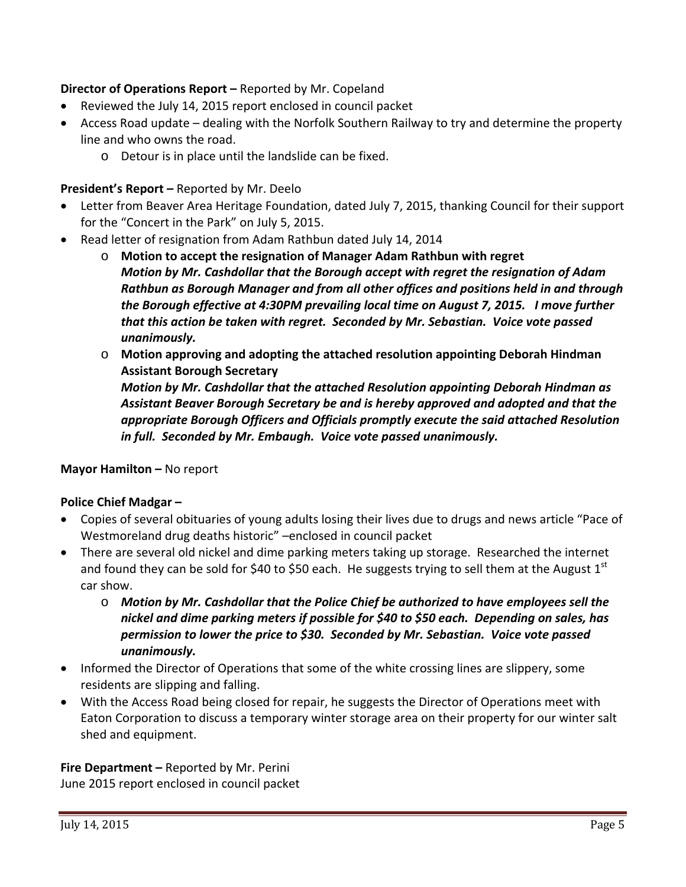## **Director of Operations Report –** Reported by Mr. Copeland

- Reviewed the July 14, 2015 report enclosed in council packet
- Access Road update dealing with the Norfolk Southern Railway to try and determine the property line and who owns the road.
	- o Detour is in place until the landslide can be fixed.

### **President's Report –** Reported by Mr. Deelo

- Letter from Beaver Area Heritage Foundation, dated July 7, 2015, thanking Council for their support for the "Concert in the Park" on July 5, 2015.
- Read letter of resignation from Adam Rathbun dated July 14, 2014
	- o **Motion to accept the resignation of Manager Adam Rathbun with regret** *Motion by Mr. Cashdollar that the Borough accept with regret the resignation of Adam Rathbun as Borough Manager and from all other offices and positions held in and through the Borough effective at 4:30PM prevailing local time on August 7, 2015. I move further that this action be taken with regret. Seconded by Mr. Sebastian. Voice vote passed unanimously.*
	- o **Motion approving and adopting the attached resolution appointing Deborah Hindman Assistant Borough Secretary**

*Motion by Mr. Cashdollar that the attached Resolution appointing Deborah Hindman as Assistant Beaver Borough Secretary be and is hereby approved and adopted and that the appropriate Borough Officers and Officials promptly execute the said attached Resolution in full. Seconded by Mr. Embaugh. Voice vote passed unanimously.*

**Mayor Hamilton –** No report

### **Police Chief Madgar –**

- Copies of several obituaries of young adults losing their lives due to drugs and news article "Pace of Westmoreland drug deaths historic" –enclosed in council packet
- There are several old nickel and dime parking meters taking up storage. Researched the internet and found they can be sold for \$40 to \$50 each. He suggests trying to sell them at the August  $1<sup>st</sup>$ car show.
	- o *Motion by Mr. Cashdollar that the Police Chief be authorized to have employees sell the nickel and dime parking meters if possible for \$40 to \$50 each. Depending on sales, has permission to lower the price to \$30. Seconded by Mr. Sebastian. Voice vote passed unanimously.*
- Informed the Director of Operations that some of the white crossing lines are slippery, some residents are slipping and falling.
- With the Access Road being closed for repair, he suggests the Director of Operations meet with Eaton Corporation to discuss a temporary winter storage area on their property for our winter salt shed and equipment.

### **Fire Department –** Reported by Mr. Perini

June 2015 report enclosed in council packet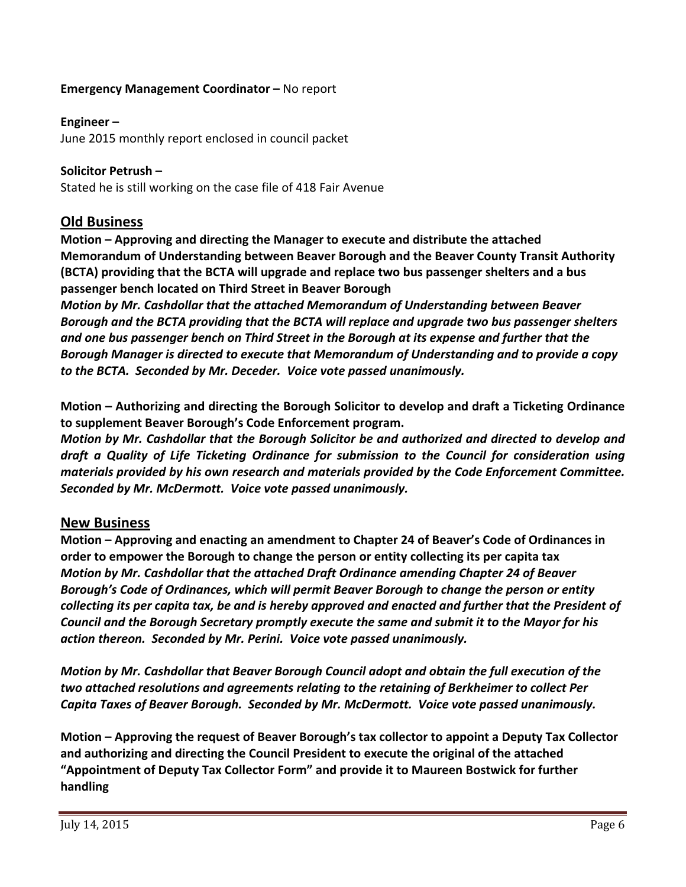### **Emergency Management Coordinator –** No report

### **Engineer –**

June 2015 monthly report enclosed in council packet

### **Solicitor Petrush –**

Stated he is still working on the case file of 418 Fair Avenue

### **Old Business**

**Motion – Approving and directing the Manager to execute and distribute the attached Memorandum of Understanding between Beaver Borough and the Beaver County Transit Authority (BCTA) providing that the BCTA will upgrade and replace two bus passenger shelters and a bus passenger bench located on Third Street in Beaver Borough**

*Motion by Mr. Cashdollar that the attached Memorandum of Understanding between Beaver Borough and the BCTA providing that the BCTA will replace and upgrade two bus passenger shelters and one bus passenger bench on Third Street in the Borough at its expense and further that the Borough Manager is directed to execute that Memorandum of Understanding and to provide a copy to the BCTA. Seconded by Mr. Deceder. Voice vote passed unanimously.*

**Motion – Authorizing and directing the Borough Solicitor to develop and draft a Ticketing Ordinance to supplement Beaver Borough's Code Enforcement program.** 

*Motion by Mr. Cashdollar that the Borough Solicitor be and authorized and directed to develop and draft a Quality of Life Ticketing Ordinance for submission to the Council for consideration using materials provided by his own research and materials provided by the Code Enforcement Committee. Seconded by Mr. McDermott. Voice vote passed unanimously.*

### **New Business**

**Motion – Approving and enacting an amendment to Chapter 24 of Beaver's Code of Ordinances in order to empower the Borough to change the person or entity collecting its per capita tax** *Motion by Mr. Cashdollar that the attached Draft Ordinance amending Chapter 24 of Beaver Borough's Code of Ordinances, which will permit Beaver Borough to change the person or entity* collecting its per capita tax, be and is hereby approved and enacted and further that the President of *Council and the Borough Secretary promptly execute the same and submit it to the Mayor for his action thereon. Seconded by Mr. Perini. Voice vote passed unanimously.*

*Motion by Mr. Cashdollar that Beaver Borough Council adopt and obtain the full execution of the two attached resolutions and agreements relating to the retaining of Berkheimer to collect Per Capita Taxes of Beaver Borough. Seconded by Mr. McDermott. Voice vote passed unanimously.*

**Motion – Approving the request of Beaver Borough's tax collector to appoint a Deputy Tax Collector and authorizing and directing the Council President to execute the original of the attached "Appointment of Deputy Tax Collector Form" and provide it to Maureen Bostwick for further handling**